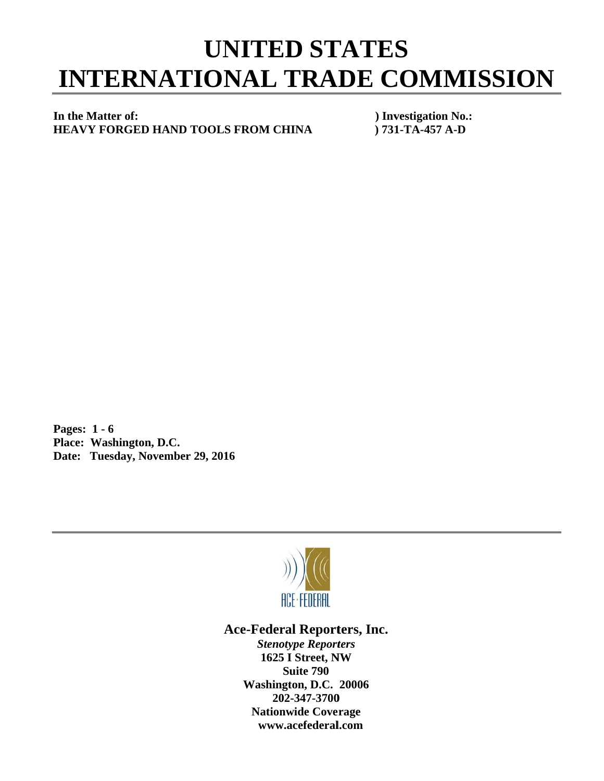## **INTERNATIONAL TRADE COMMISSION UNITED STATES**

## In the Matter of: **HEAVY FORGED HAND TOOLS FROM CHINA**

**) Investigation No.: ) 731 1-TA-457 A -D** 

**P Pages: 1 - 6** Pages: 1 - 6<br>Place: Washington, D.C. Date: Tuesday, November 29, 2016



## Ace-Federal Reporters, Inc.

*Stenotype Reporters* **1625 I Street, NW Washin gton, D.C. 20006 20 02-347-3700** 202-347-3700<br>Nationwide Coverage **www w.acefederal l.com Suite 790**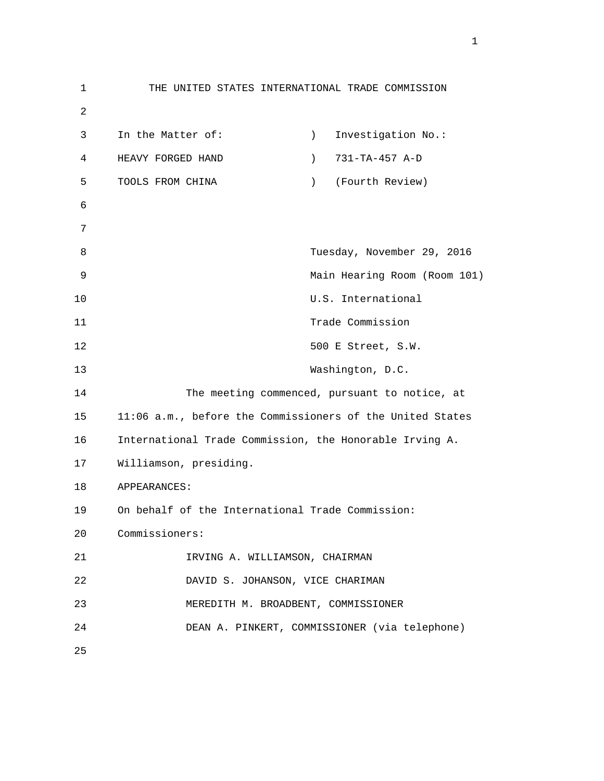1 THE UNITED STATES INTERNATIONAL TRADE COMMISSION 2 3 In the Matter of: (a) Investigation No.: 4 HEAVY FORGED HAND ) 731-TA-457 A-D 5 TOOLS FROM CHINA ) (Fourth Review) 6 7 8 Tuesday, November 29, 2016 9 Main Hearing Room (Room 101) 10 U.S. International 11 Trade Commission 12 500 E Street, S.W. 13 Washington, D.C. 14 The meeting commenced, pursuant to notice, at 15 11:06 a.m., before the Commissioners of the United States 16 International Trade Commission, the Honorable Irving A. 17 Williamson, presiding. 18 APPEARANCES: 19 On behalf of the International Trade Commission: 20 Commissioners: 21 IRVING A. WILLIAMSON, CHAIRMAN 22 DAVID S. JOHANSON, VICE CHARIMAN 23 MEREDITH M. BROADBENT, COMMISSIONER 24 DEAN A. PINKERT, COMMISSIONER (via telephone) 25

 $1<sub>1</sub>$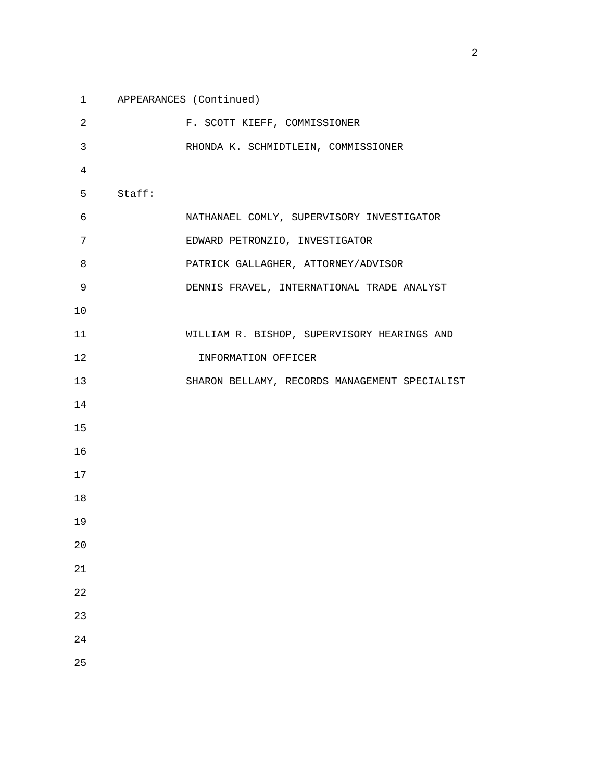1 APPEARANCES (Continued) 2 F. SCOTT KIEFF, COMMISSIONER 3 RHONDA K. SCHMIDTLEIN, COMMISSIONER 4 5 Staff: 6 NATHANAEL COMLY, SUPERVISORY INVESTIGATOR 7 EDWARD PETRONZIO, INVESTIGATOR 8 PATRICK GALLAGHER, ATTORNEY/ADVISOR 9 DENNIS FRAVEL, INTERNATIONAL TRADE ANALYST 10 11 WILLIAM R. BISHOP, SUPERVISORY HEARINGS AND 12 INFORMATION OFFICER 13 SHARON BELLAMY, RECORDS MANAGEMENT SPECIALIST 14 15 16 17 18 19 20 21 22 23 24 25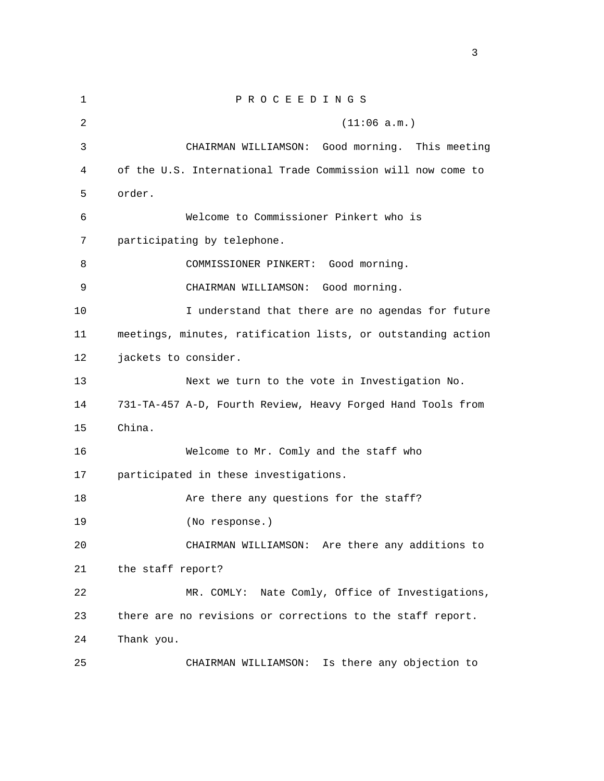1 P R O C E E D I N G S  $2$  (11:06 a.m.) 3 CHAIRMAN WILLIAMSON: Good morning. This meeting 4 of the U.S. International Trade Commission will now come to 5 order. 6 Welcome to Commissioner Pinkert who is 7 participating by telephone. 8 COMMISSIONER PINKERT: Good morning. 9 CHAIRMAN WILLIAMSON: Good morning. 10 I understand that there are no agendas for future 11 meetings, minutes, ratification lists, or outstanding action 12 jackets to consider. 13 Next we turn to the vote in Investigation No. 14 731-TA-457 A-D, Fourth Review, Heavy Forged Hand Tools from 15 China. 16 Welcome to Mr. Comly and the staff who 17 participated in these investigations. 18 Are there any questions for the staff? 19 (No response.) 20 CHAIRMAN WILLIAMSON: Are there any additions to 21 the staff report? 22 MR. COMLY: Nate Comly, Office of Investigations, 23 there are no revisions or corrections to the staff report. 24 Thank you. 25 CHAIRMAN WILLIAMSON: Is there any objection to

<u>3</u>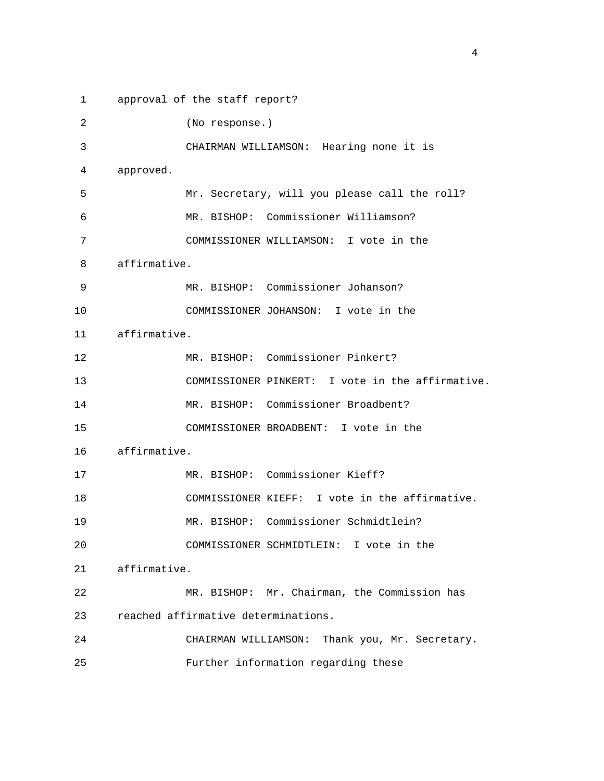1 approval of the staff report? 2 (No response.) 3 CHAIRMAN WILLIAMSON: Hearing none it is 4 approved. 5 Mr. Secretary, will you please call the roll? 6 MR. BISHOP: Commissioner Williamson? 7 COMMISSIONER WILLIAMSON: I vote in the 8 affirmative. 9 MR. BISHOP: Commissioner Johanson? 10 COMMISSIONER JOHANSON: I vote in the 11 affirmative. 12 MR. BISHOP: Commissioner Pinkert? 13 COMMISSIONER PINKERT: I vote in the affirmative. 14 MR. BISHOP: Commissioner Broadbent? 15 COMMISSIONER BROADBENT: I vote in the 16 affirmative. 17 MR. BISHOP: Commissioner Kieff? 18 COMMISSIONER KIEFF: I vote in the affirmative. 19 MR. BISHOP: Commissioner Schmidtlein? 20 COMMISSIONER SCHMIDTLEIN: I vote in the 21 affirmative. 22 MR. BISHOP: Mr. Chairman, the Commission has 23 reached affirmative determinations. 24 CHAIRMAN WILLIAMSON: Thank you, Mr. Secretary. 25 Further information regarding these

4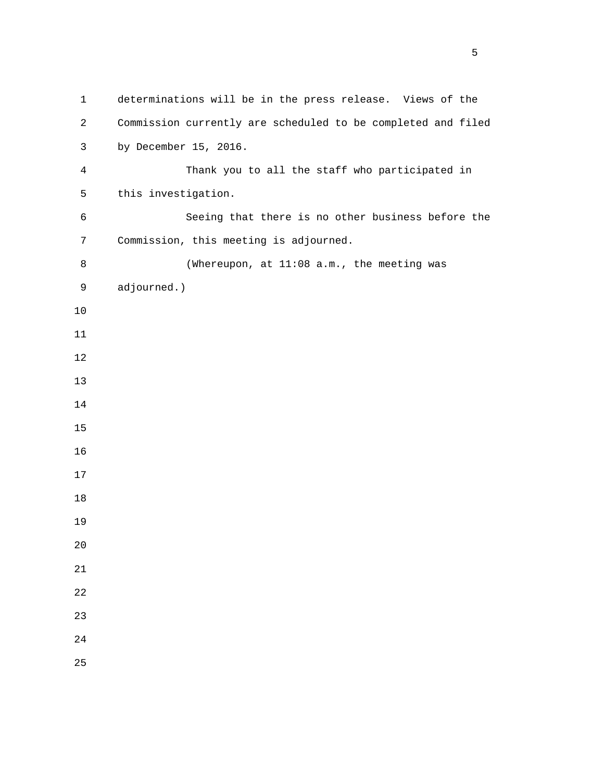1 determinations will be in the press release. Views of the 2 Commission currently are scheduled to be completed and filed 3 by December 15, 2016. 4 Thank you to all the staff who participated in 5 this investigation. 6 Seeing that there is no other business before the 7 Commission, this meeting is adjourned. 8 (Whereupon, at 11:08 a.m., the meeting was 9 adjourned.)